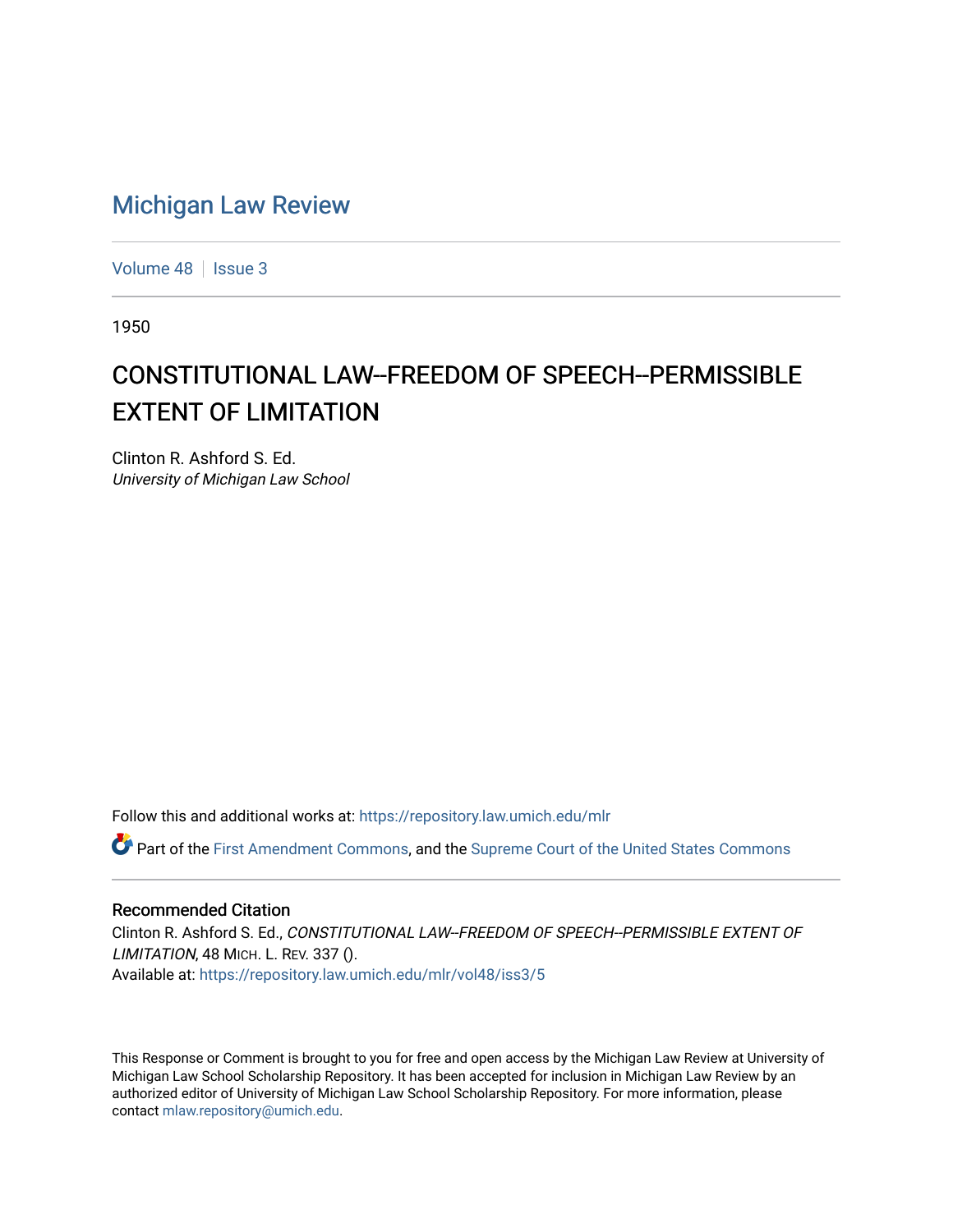## [Michigan Law Review](https://repository.law.umich.edu/mlr)

[Volume 48](https://repository.law.umich.edu/mlr/vol48) | [Issue 3](https://repository.law.umich.edu/mlr/vol48/iss3)

1950

# CONSTITUTIONAL LAW--FREEDOM OF SPEECH--PERMISSIBLE EXTENT OF LIMITATION

Clinton R. Ashford S. Ed. University of Michigan Law School

Follow this and additional works at: [https://repository.law.umich.edu/mlr](https://repository.law.umich.edu/mlr?utm_source=repository.law.umich.edu%2Fmlr%2Fvol48%2Fiss3%2F5&utm_medium=PDF&utm_campaign=PDFCoverPages) 

Part of the [First Amendment Commons,](http://network.bepress.com/hgg/discipline/1115?utm_source=repository.law.umich.edu%2Fmlr%2Fvol48%2Fiss3%2F5&utm_medium=PDF&utm_campaign=PDFCoverPages) and the [Supreme Court of the United States Commons](http://network.bepress.com/hgg/discipline/1350?utm_source=repository.law.umich.edu%2Fmlr%2Fvol48%2Fiss3%2F5&utm_medium=PDF&utm_campaign=PDFCoverPages)

#### Recommended Citation

Clinton R. Ashford S. Ed., CONSTITUTIONAL LAW--FREEDOM OF SPEECH--PERMISSIBLE EXTENT OF LIMITATION, 48 MICH. L. REV. 337 (). Available at: [https://repository.law.umich.edu/mlr/vol48/iss3/5](https://repository.law.umich.edu/mlr/vol48/iss3/5?utm_source=repository.law.umich.edu%2Fmlr%2Fvol48%2Fiss3%2F5&utm_medium=PDF&utm_campaign=PDFCoverPages)

This Response or Comment is brought to you for free and open access by the Michigan Law Review at University of Michigan Law School Scholarship Repository. It has been accepted for inclusion in Michigan Law Review by an authorized editor of University of Michigan Law School Scholarship Repository. For more information, please contact [mlaw.repository@umich.edu](mailto:mlaw.repository@umich.edu).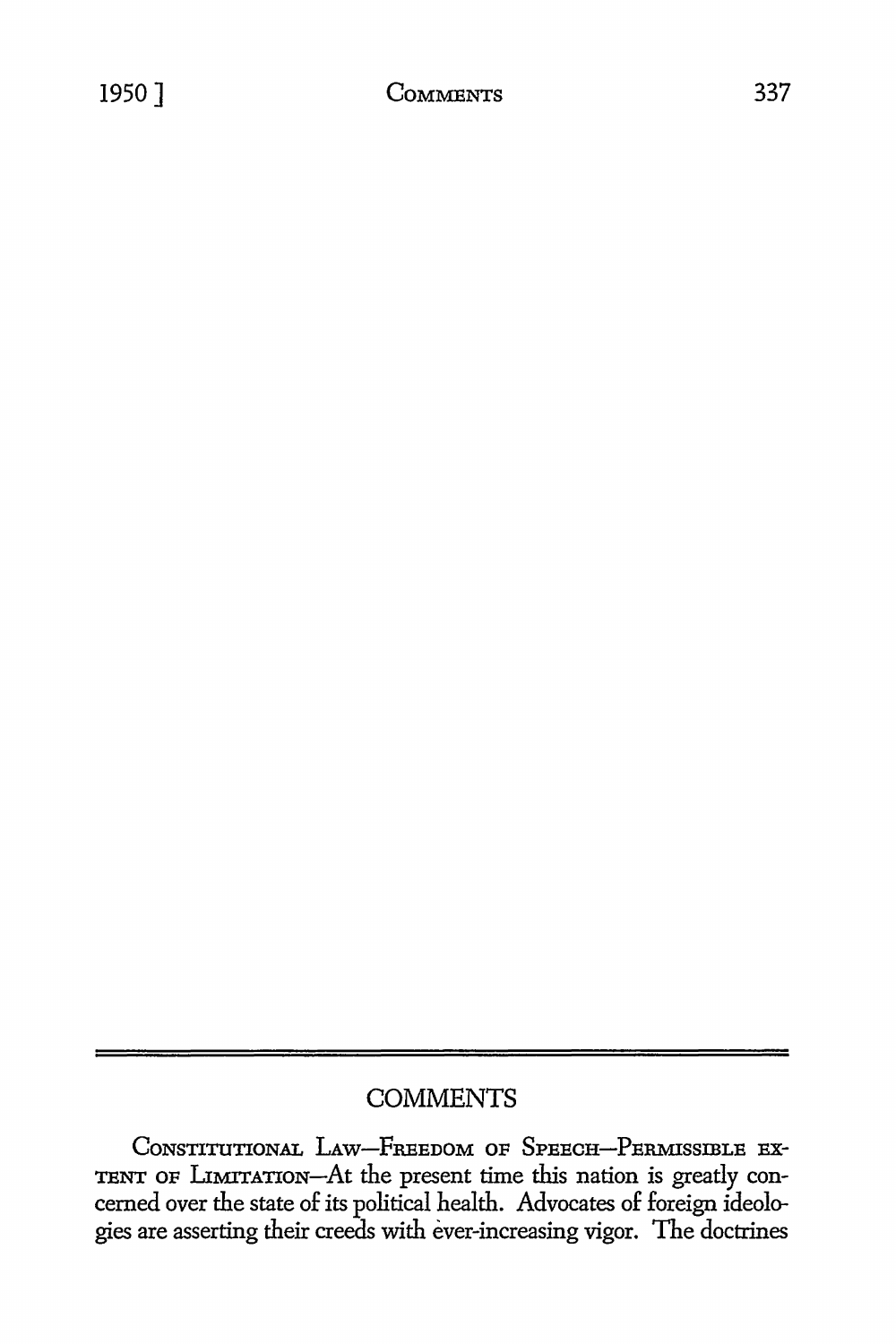CONSTITUTIONAL LAW-FREEDOM OF SPEECH-PERMISSIBLE EX-TENT OF LIMITATION-At the present time this nation is greatly concerned over the state of its political health. Advocates of foreign ideologies are asserting their creeds with ever-increasing vigor. The doctrines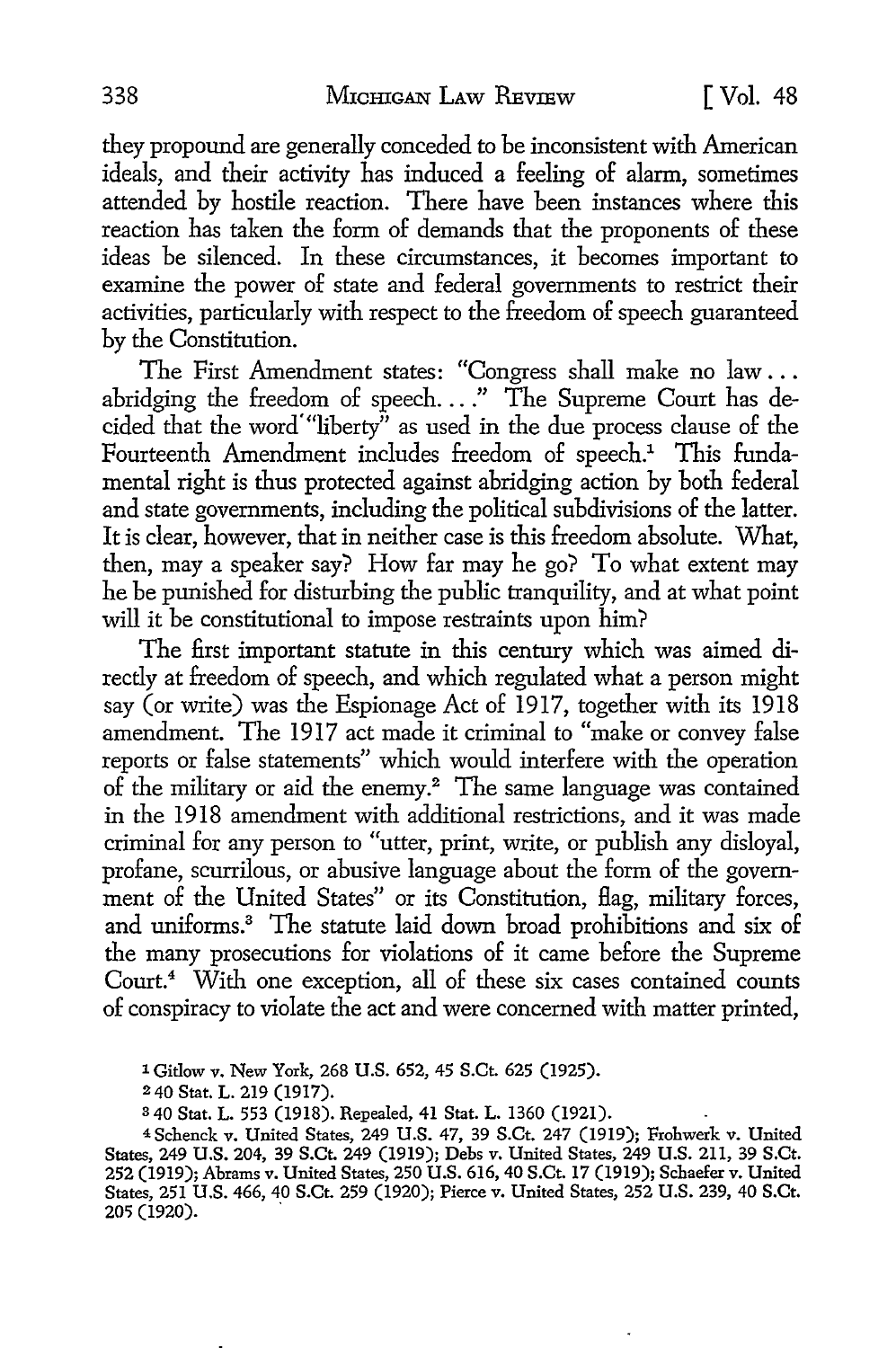they propound are generally conceded to be inconsistent with American ideals, and their activity has induced a feeling of alarm, sometimes attended by hostile reaction. There have been instances where this reaction has taken the form of demands that the proponents of these ideas be silenced. In these circumstances, it becomes important to examine the power of state and federal governments to restrict their activities, particularly with respect to the freedom of speech guaranteed by the Constitution.

The First Amendment states: "Congress shall make no law ... abridging the freedom of speech...." The Supreme Court has decided that the word "liberty" as used in the due process clause of the Fourteenth Amendment includes freedom of speech.<sup>1</sup> This fundamental right is thus protected against abridging action by both federal and state governments, including the political subdivisions of the latter. It is clear, however, that in neither case is this freedom absolute. What, then, may a speaker say? How far may he go? To what extent may he be punished for disturbing the public tranquility, and at what point will it be constitutional to impose restraints upon him?

The first important statute in this century which was aimed directly at freedom of speech, and which regulated what a person might say (or write) was the Espionage Act of 1917, together with its 1918 amendment. The 1917 act made it criminal to "make or convey false reports or false statements" which would interfere with the operation of the military or aid the enemy.2 The same language was contained in the 1918 amendment with additional restrictions, and it was made criminal for any person to "utter, print, write, or publish any disloyal, profane, scurrilous, or abusive language about the form of the government of the United States" or its Constitution, Hag, military forces, and uniforms.<sup>3</sup> The statute laid down broad prohibitions and six of the many prosecutions for violations of it came before the Supreme Court.<sup>4</sup> With one exception, all of these six cases contained counts of conspiracy to violate the act and were concerned with matter printed,

1 Gitlow v. New York, 268 U.S. 652, 45 S.Ct. 625 (1925).

<sup>2</sup>40 Stat. L. 219 (1917).

<sup>3</sup>40 Stat. L. 553 (1918). Repealed, 41 Stat. L. 1360 (1921).

<sup>4</sup>Schenck v. United States, 249 U.S. 47, 39 S.Ct. 247 (1919); Frohwerk v. United States, 249 U.S. 204, 39 S.Ct. 249 (1919); Debs v. United States, 249 U.S. 211, 39 S.Ct. 252 (1919); Abrams v. United States, 250 U.S. 616, 40 S.Ct. 17 (1919); Schaefer v. United States, 251 U.S. 466, 40 S.Ct. 259 (1920); Pierce v. United States, 252 U.S. 239, 40 S.Ct. 205 (1920). .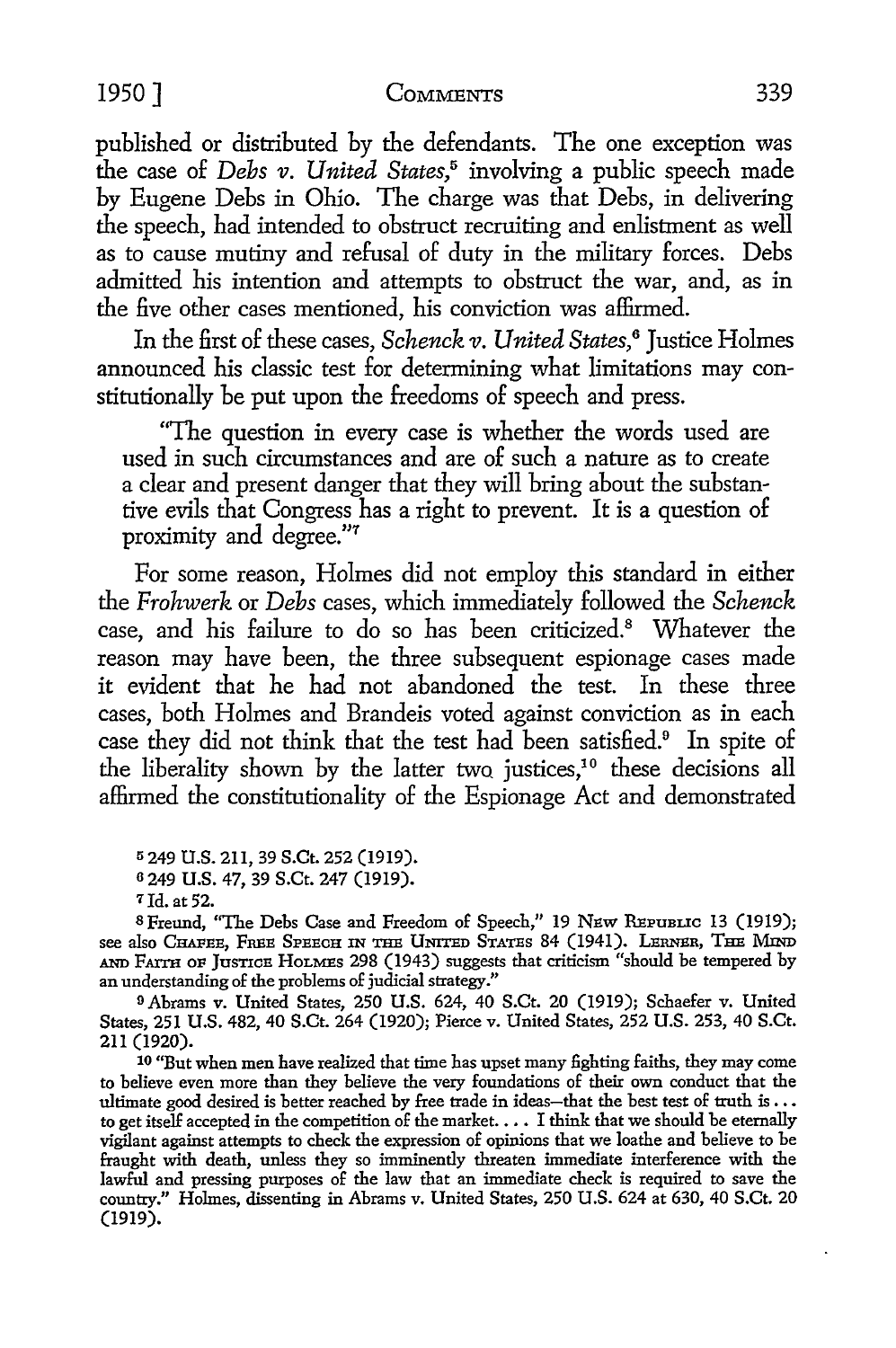published or distributed by the defendants. The one exception was the case of *Debs v. United States*,<sup>5</sup> involving a public speech made by Eugene Debs in Ohio. The charge was that Debs, in delivering the speech, had intended to obstruct recruiting and enlistment as well as to cause mutiny and refusal of duty in the military forces. Debs admitted his intention and attempts to obstruct the war, and, as in the five other cases mentioned, his conviction was affirmed.

In the first of these cases, *Schenck v. United States*,<sup>6</sup> Justice Holmes announced his classic test for determining what limitations may constitutionally be put upon the freedoms of speech and press.

"The question in every case is whether the words used are used in such circumstances and are of such a nature as to create a clear and present danger that they will bring about the substantive evils that Congress has a right to prevent. It is a question of proximity and degree."7

For some reason, Holmes did not employ this standard in either the *Frohwerk* or *Debs* cases, which immediately followed the *Schenck*  case, and his failure to do so has been criticized.<sup>8</sup> Whatever the reason may have been, the three subsequent espionage cases made it evident that he had not abandoned the test. In these three cases, both Holmes and Brandeis voted against conviction as in each case they did not think that the test had been satisfied.<sup>9</sup> In spite of the liberality shown by the latter two justices,<sup>10</sup> these decisions all affirmed the constitutionality of the Espionage *Act* and demonstrated

<sup>5</sup>249 U.S. 211, 39 S.Ct. 252 (1919).

7Jd. at 52.

<sup>8</sup> Freund, "The Debs Case and Freedom of Speech," 19 NEW REPUBLIC 13 (1919); see also CHAFEE, FREE SPEECH IN THE UNITED STATES 84 (1941). LERNER, THE MIND AND FATTH OF JUSTICE HOLMES 298 (1943) suggests that criticism "should be tempered by an understanding of the problems of judicial strategy."

o Abrams v. United States, 250 U.S. 624, 40 S.Ct. 20 (1919); Schaefer v. United States, 251 U.S. 482, 40 S.Ct. 264 (1920); Pierce v. United States, 252 U.S. 253, 40 S.Ct. 211 (1920).

10 "But when men have realized that time has upset many £ghting faiths, they may come to believe even more than they believe the very foundations of their own conduct that the ultimate good desired is better reached by free trade in ideas-that the best test of truth is ... to get itself accepted in the competition of the market. • • • I think that we should be eternally vigilant against attempts to check the expression of opinions that we loathe and believe to be fraught with death, unless they so imminently threaten immediate interference with the lawful and pressing purposes of the law that an immediate check is required to save the country." Holmes, dissenting in Abrams v. United States, 250 U.S. 624 at 630, 40 S.Ct. 20 (1919).

<sup>6</sup>249 U.S. 47, 39 S.Ct. 247 (1919).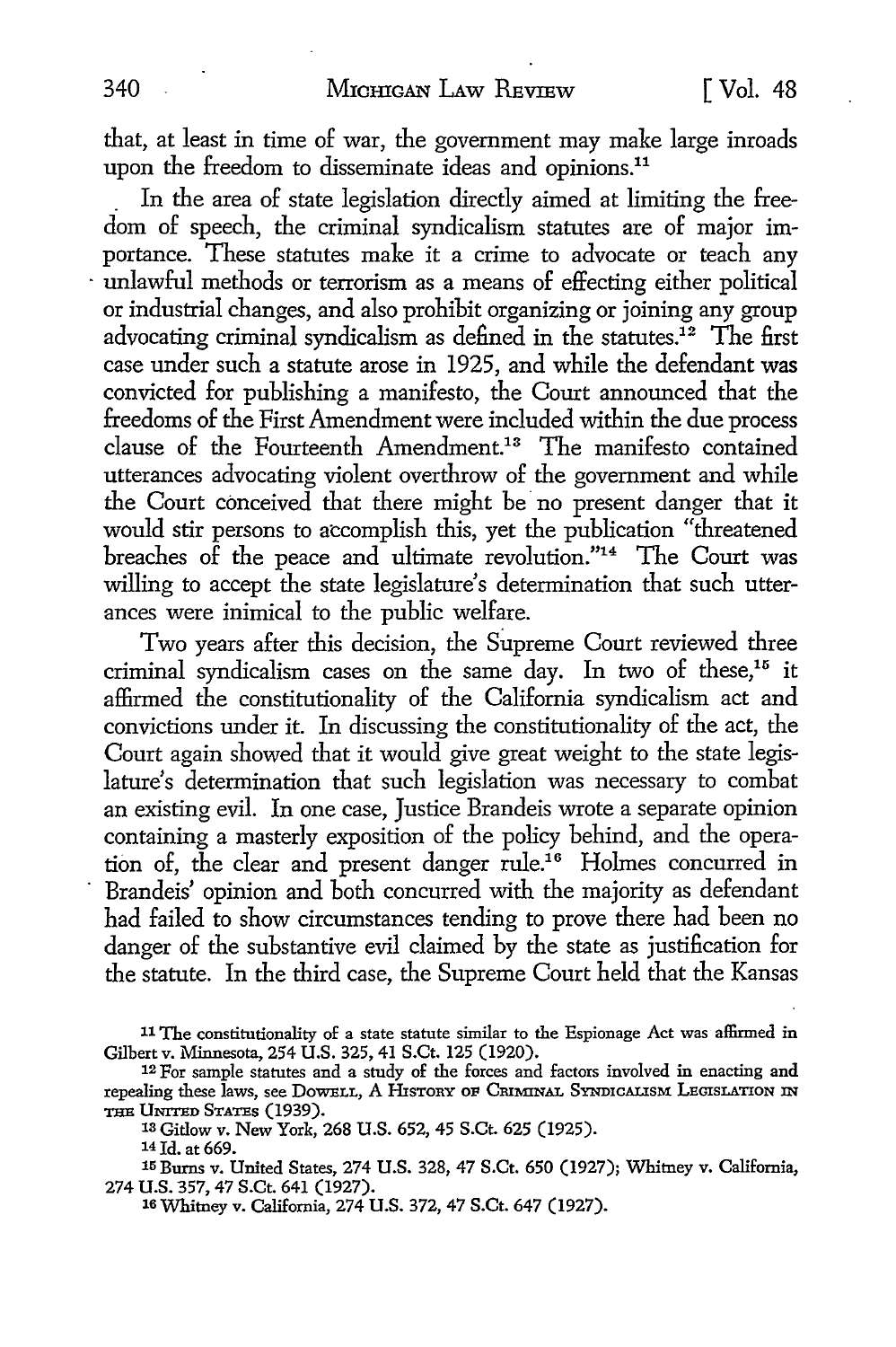that, at least in time of war, the government may make large inroads upon the freedom to disseminate ideas and opinions.<sup>11</sup>

. In the area of state legislation directly aimed at limiting the freedom of speech, the criminal syndicalism statutes are of major importance. These statutes make it a crime to advocate or teach any unlawful methods or terrorism as a means of effecting either political or industrial changes, and also prohibit organizing or joining any group advocating criminal syndicalism as defined in the statutes.<sup>12</sup> The first case under such a statute arose in 1925, and while the defendant was convicted for publishing a manifesto, the Court announced that the freedoms of the First Amendment were included within the due process clause of the Fourteenth Amendment.13 The manifesto contained utterances advocating violent overthrow of the government and while the Court conceived that there might be no present danger that it would stir persons to accomplish this, yet the publication "threatened breaches of the peace and ultimate revolution."14 The Court was willing to accept the state legislature's determination that such utterances were inimical to the public welfare.

Two years after this decision, the Supreme Court reviewed three criminal syndicalism cases on the same day. In two of these,<sup>15</sup> it affirmed the constitutionality of the California syndicalism act and convictions under it. In discussing the constitutionality of the act, the Court again showed that it would give great weight to the state legislature's determination that such legislation was necessary to combat an existing evil. In one case, Justice Brandeis wrote a separate opinion containing a masterly exposition of the policy behind, and the operation of, the clear and present danger rule.16 Holmes concurred in Brandeis' opinion and both concurred with the majority as defendant had failed to show circumstances tending to prove there had been no danger of the substantive evil claimed by the state as justification for the statute. In the third case, the Supreme Court held that the Kansas

11 The constitutionality of a state statute similar to the Espionage Act was affirmed in Gilbert v. Minnesota, 254 U.S. 325, 41 S.Ct. 125 (1920).

13 Gitlow v. New York, 268 U.S. 652, 45 S.Ct. 625 (1925).

14 Id. at 669.

15 Burns v. United States, 274 U.S. 328, 47 S.Ct. 650 (1927); Whitney v. California, 274 U.S. 357, 47 S.Ct. 641 (1927).

16 Whitney v. California, 274 U.S. 372, 47 S.Ct. 647 (1927).

<sup>12</sup> For sample statutes and a study of the forces and factors involved in enacting and repealing these laws, see DowELL, A HISTORY OF CRIMINAL SYNDICALISM LEGISLATION IN THE UNITED STATES (1939).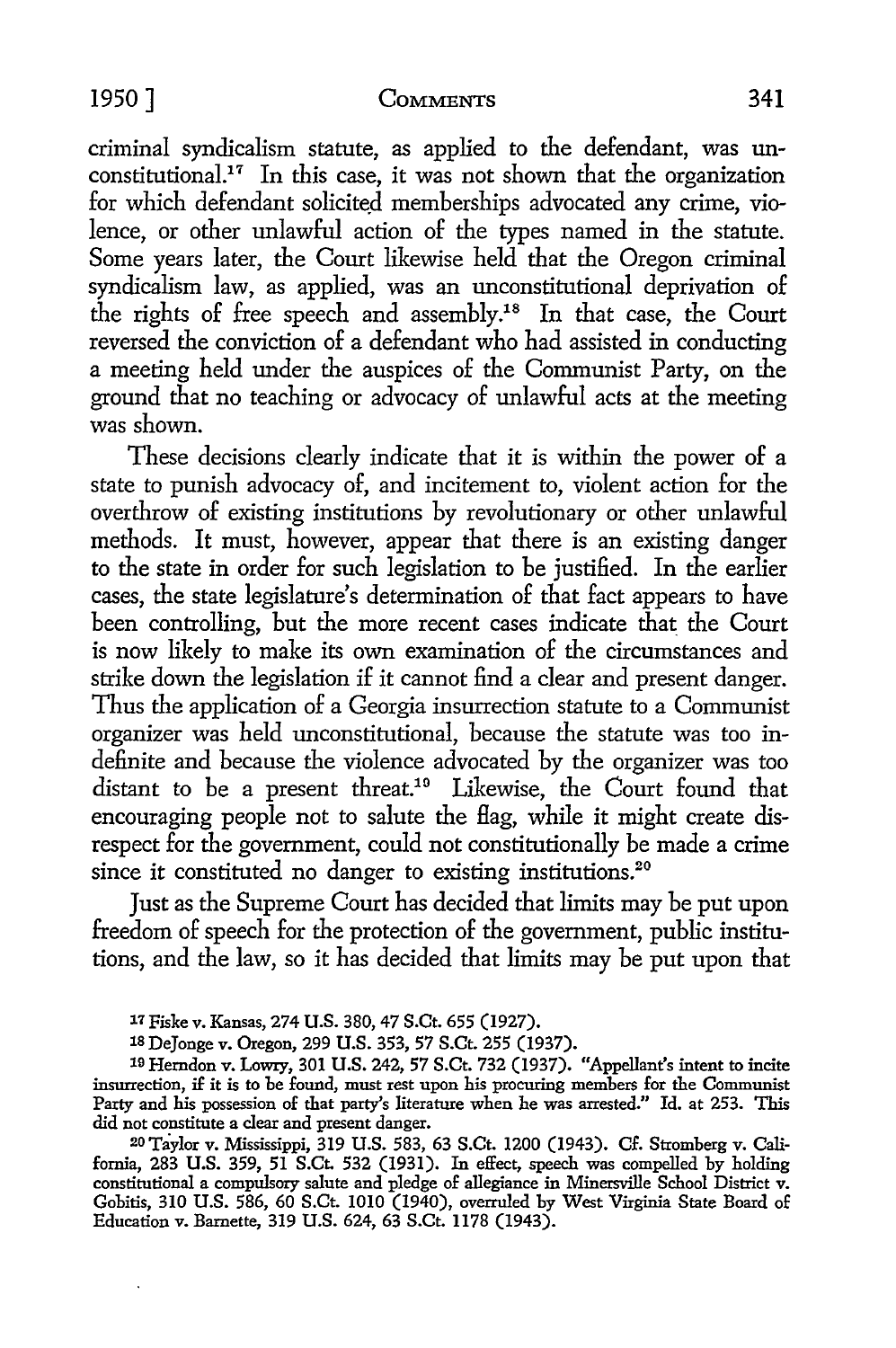criminal syndicalism statute, as applied to the defendant, was unconstitutional.<sup>17</sup> In this case, it was not shown that the organization for which defendant solicited memberships advocated any crime, violence, or other unlawful action of the types named in the statute. Some years later, the Court likewise held that the Oregon criminal syndicalism law, as applied, was an unconstitutional deprivation of the rights of free speech and assembly.<sup>18</sup> In that case, the Court reversed the conviction of a defendant who had assisted in conducting a meeting held under the auspices of the Communist Party, on the ground that no teaching or advocacy of unlawful acts at the meeting was shown.

These decisions clearly indicate that it is within the power of a state *to* punish advocacy of, and incitement *to,* violent action for the overthrow of existing institutions by revolutionary or other unlawful methods. It must, however, appear that there is an existing danger *to* the state in order for such legislation to be justified. In the earlier cases, the state legislature's determination of that fact appears *to* have been controlling, but the more recent cases indicate that the Court is now likely to make its own examination of the circumstances and strike down the legislation if it cannot find a clear and present danger. Thus the application of a Georgia insurrection statute *to* a Communist organizer was held unconstitutional, because the statute was *too* indefinite and because the violence advocated by the organizer was too distant to be a present threat.<sup>19</sup> Likewise, the Court found that encouraging people not *to* salute the flag, while it might create disrespect for the government, could *not* constitutionally be made a crime since it constituted no danger to existing institutions.<sup>20</sup>

Just as the Supreme Court has decided that limits may be put upon freedom of speech for the protection of the government, public institutions, and the law, so it has decided that limits may be put upon that

19 Herndon v. Lowry, 301 **U.S.** 242, 57 S.Ct. 732 (1937). "Appellant's intent to incite insurrection, if it is to be found, must rest upon his procuring members for the Communist Party and his possession of that party's literature when he was arrested." Id. at 253. This did not constitute a clear and present danger.

20 Taylor v. Mississippi, 319 U.S. 583, 63 S.Ct. 1200 (1943). Cf. Stromberg v. California, 283 U.S. 359, 51 S.Ct. 532 (1931). In effect, speech was compelled by holding constitutional a compulsory salute and pledge of allegiance in Minersville School District v. Gobitis, 310 U.S. 586, 60 S.Ct. 1010 (1940), overruled by West Virginia State Board of Education v. Barnette, 319 U.S. 624, 63 S.Ct. 1178 (1943).

*<sup>11</sup>* Fiske v. Kansas, 274 U.S. 380, 47 S.Ct. 655 (1927).

<sup>18</sup> DeJonge v. Oregon, 299 **U.S.** 353, 57 S.Ct. 255 (1937).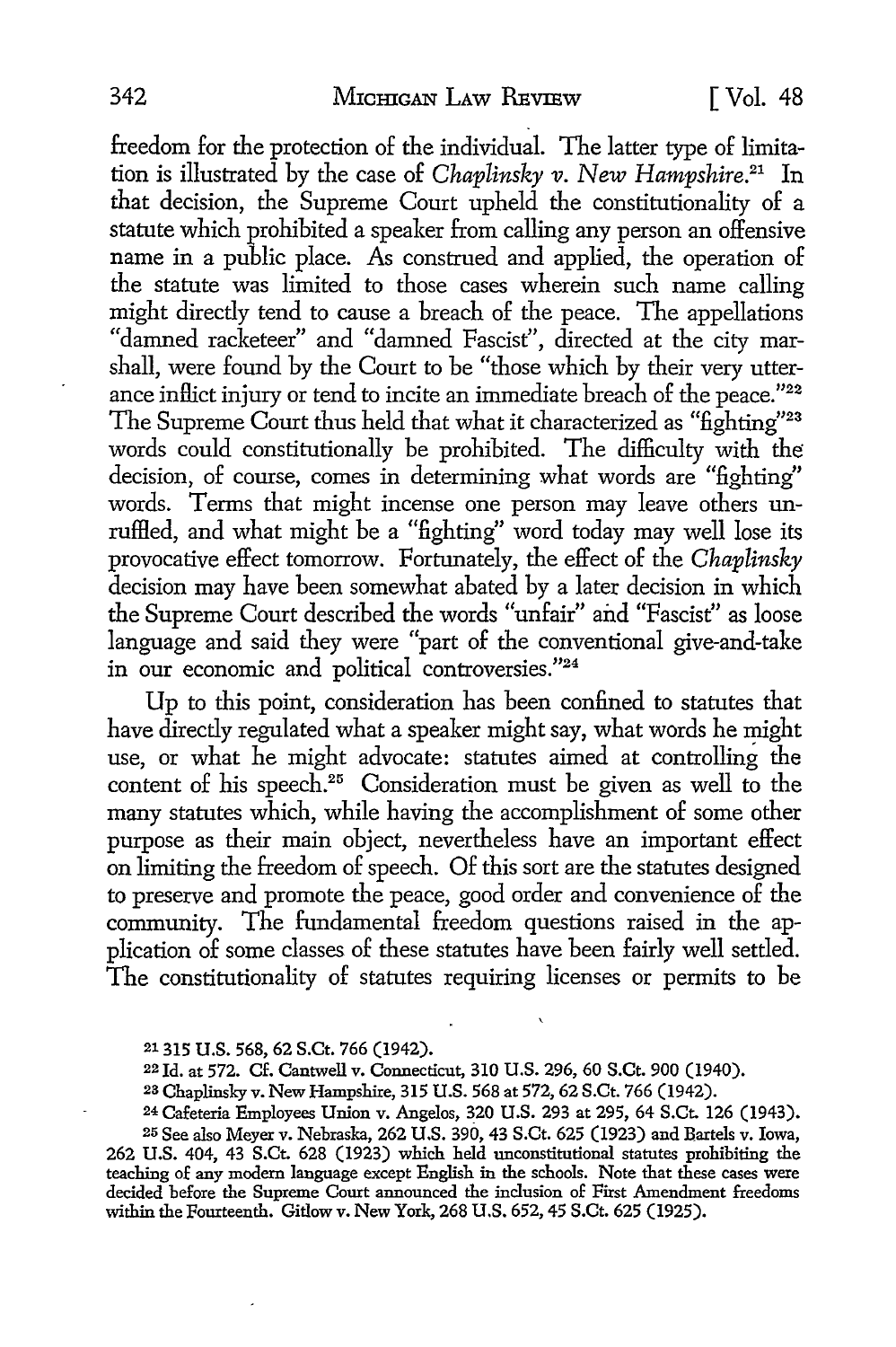freedom for the protection of the individual. The latter type of limitation is illustrated by the case of *Chaplinsky v. New Hampshire.21* In that decision, the Supreme Court upheld the constitutionality of a statute which prohibited a speaker from calling any person an offensive name in a public place. As construed and applied, the operation of the statute was limited to those cases wherein such name calling might directly tend to cause a breach of the peace. The appellations "damned racketeer" and "damned Fascist", directed at the city marshall, were found by the Court to be "those which by their very utterance inflict injury or tend to incite an immediate breach of the peace."<sup>22</sup> The Supreme Court thus held that what it characterized as "fighting"<sup>23</sup> words could constitutionally be prohibited. The difficulty with the decision, of course, comes in determining what words are "fighting" words. Terms that might incense one person may leave others unrufHed, and what might be a "fighting" word today may well lose its provocative effect tomorrow. Fortunately, the effect of the *Chaplinsky*  decision may have been somewhat abated by a later decision in which the Supreme Court described the words "unfair" and "Fascist" as loose language and said they were "part of the conventional give-and-take in our economic and political controversies."24

Up to this point, consideration has been confined to statutes that have directly regulated what a speaker might say, what words he might use, or what he might advocate: statutes aimed at controlling the content of his speech.<sup>25</sup> Consideration must be given as well to the many statutes which, while having the accomplishment of some other purpose as their main object, nevertheless have an important effect on limiting the freedom of speech. Of this sort are the statutes designed to preserve and promote the peace, good order and convenience of the community. The fundamental freedom questions raised in the application of some classes of these statutes have been fairly well settled. The constitutionality of statutes requiring licenses or permits to be

25 See also Meyer v. Nebraska, 262 U.S. 390, 43 S.Ct. 625 (1923) and Bartels v. Iowa, 262 U.S. 404, 43 S.Ct. 628 (1923) which held unconstitutional statutes prohibiting the teaching of any modern language except English in the schools. Note that these cases were decided before the Supreme Court announced the inclusion of First Amendment freedoms within the Fourteenth. Gitlow v. New York, 268 U.S. 652, 45 S.Ct. 625 (1925).

<sup>21 315</sup> U.S. 568, 62 S.Ct. 766 (1942).

<sup>22</sup> Id. at 572. Cf. Cantwell v. Connecticut, 310 U.S. 296, 60 S.Ct. 900 (1940).

<sup>2</sup>a Chaplinsky v. New Hampshire, 315 U.S. 568 at 572, 62 S.Ct. 766 (1942).

<sup>24</sup> Cafeteria Employees Union v. Angelos, 320 U.S. 293 at 295, 64 S.Ct. 126 (1943).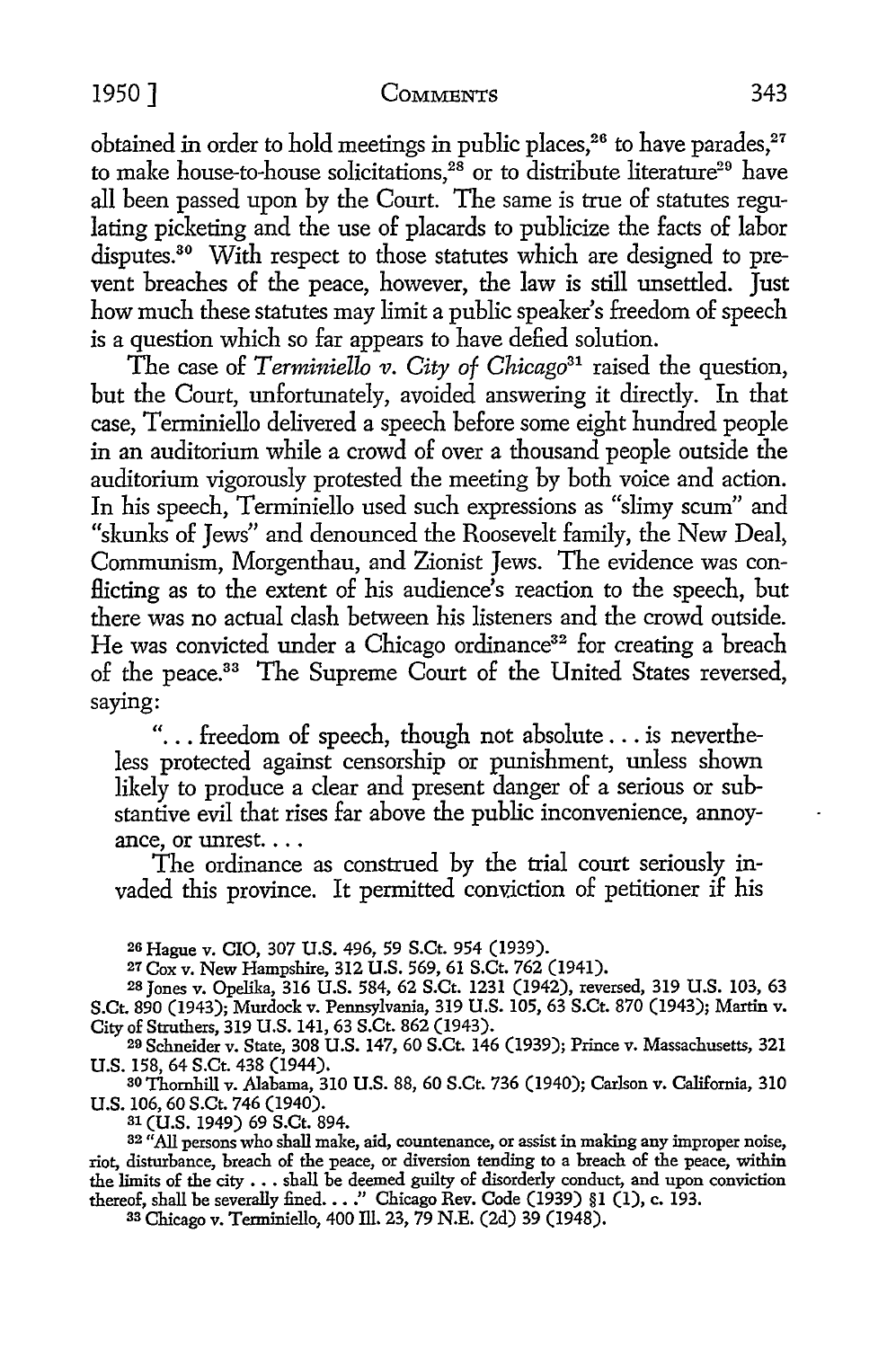obtained in order to hold meetings in public places,<sup>26</sup> to have parades,<sup>27</sup> to make house-to-house solicitations, $^{28}$  or to distribute literature $^{29}$  have all been passed upon by the Court. The same is true of statutes regulating picketing and the use of placards to publicize the facts of labor disputes.<sup>30</sup> With respect to those statutes which are designed to prevent breaches of the peace, however, the law is still unsettled. Just how much these statutes may limit a public speaker's freedom of speech is a question which so far appears to have defied solution.

The case of *Terminiello v. City of Chicago31* raised the question, but the Court, unfortunately, avoided answering it directly. In that case, Terminiello delivered a speech before some eight hundred people in an auditorium while a crowd of over a thousand people outside the auditorium vigorously protested the meeting by both voice and action. In his speech, Terminiello used such expressions as "slimy scum" and "skunks of Jews" and denounced the Roosevelt family, the New Deal, Communism, Morgenthau, and Zionist Jews. The evidence was con-Hicting as to the extent of his audience's reaction to the speech, but there was no actual clash between his listeners and the crowd outside. He was convicted under a Chicago ordinance<sup>32</sup> for creating a breach of the peace.33 The Supreme Court of the United States reversed, saying:

"... freedom of speech, though not absolute  $\dots$  is nevertheless protected against censorship or punishment, unless shown likely to produce a clear and present danger of a serious or substantive evil that rises far above the public inconvenience, annoyance, or unrest. ...

The ordinance as construed by the trial court seriously invaded this province. It permitted conviction of petitioner if his

2s Hague v. CIO, 307 U.S. 496, 59 S.Ct. 954 (1939).

27 Cox v. New Hampshire, 312 U.S. 569, 61 S.Ct. 762 (1941).

28 Jones v. Opelika, 316 U.S. 584, 62 S.Ct. 1231 (1942), reversed, 319 U.S. 103, 63 S.Ct. 890 (1943); Murdock v. Pennsylvania, 319 U.S. 105, 63 S.Ct. 870 (1943); Martin v. City of Struthers, 319 U.S. 141, 63 S.Ct. 862 (1943).

29 Schneider v. State, 308 U.S. 147, 60 S.Ct. 146 (1939); Prince v. Massachusetts, 321

U.S. 158, 64 S.Ct. 438 (1944). 30 Thornhill v. Alabama, 310 U.S. 88, 60 S.Ct. 736 (1940); Carlson v. California, 310 U.S. 106, 60 S.Ct. 746 (1940).

31 (U.S. 1949) 69 S.Ct. 894.

<sup>32</sup> "All persons who shall make, aid, countenance, or assist in making any improper noise, riot, disturbance, breach of the peace, or diversion tending to a breach of the peace, within the limits of the city  $\ldots$  shall be deemed guilty of disorderly conduct, and upon conviction thereof, shall be severally fined. . . ." Chicago Rev. Code (1939) §1 (1), c. 193.

33 Chicago v. Terminiello, 400 Ill. 23, 79 N.E. (2d) 39 (1948).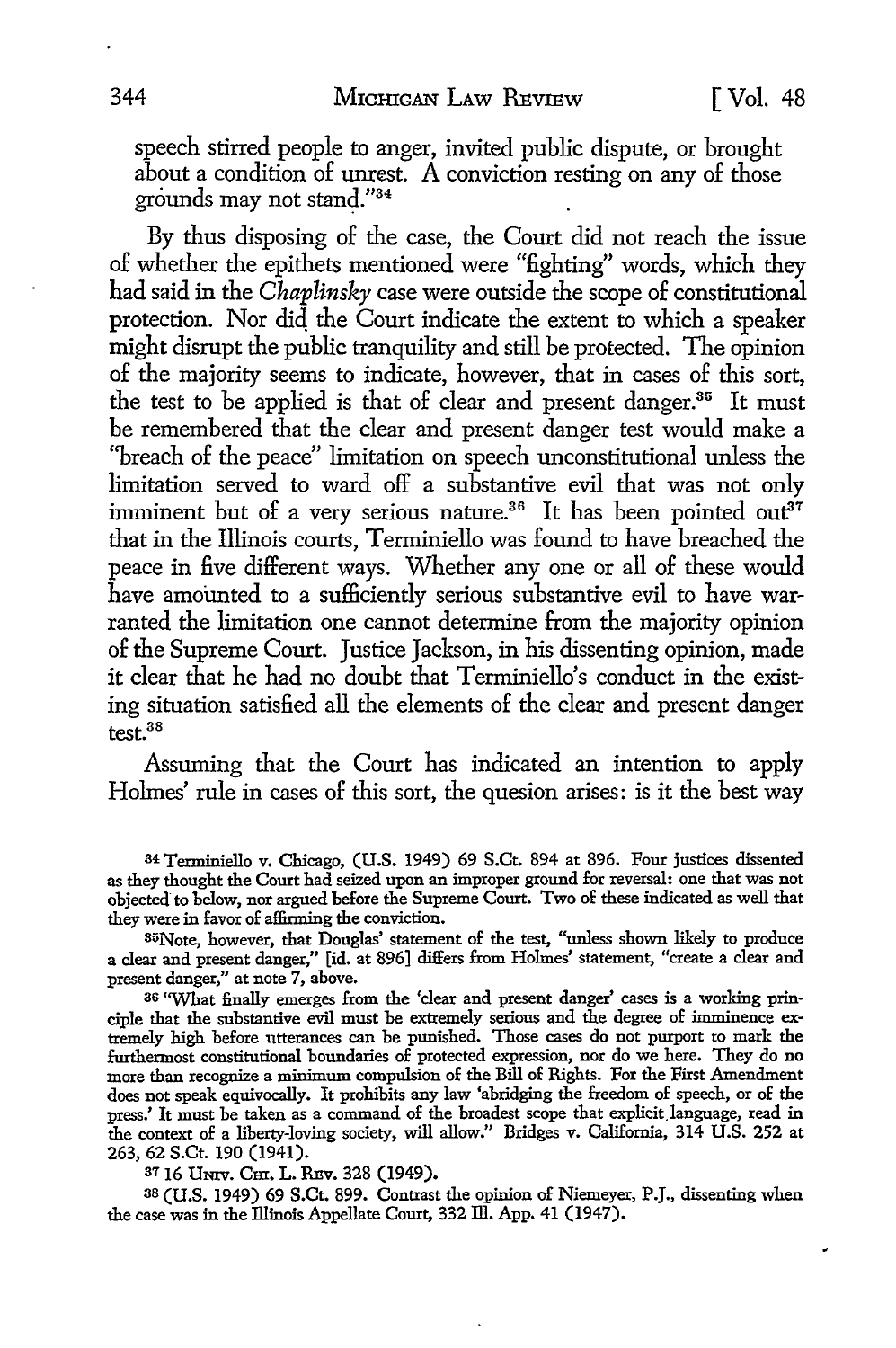speech stirred people to anger, invited public dispute, or brought about a condition of unrest. A conviction resting on any of those grounds may not stand."34

By thus disposing of the case, the Court did not reach the issue of whether the epithets mentioned were "fighting" words, which they had said in the *Chaplinsky* case were outside the scope of constitutional protection. Nor did the Court indicate the extent to which a speaker might disrupt the public tranquility and still be protected. The opinion of the majority seems to indicate, however, that in cases of this sort, the test to be applied is that of clear and present danger.<sup>35</sup> It must be remembered that the clear and present danger test would make a "breach of the peace" limitation on speech unconstitutional unless the limitation served to ward off a substantive evil that was not only imminent but of a very serious nature.<sup>36</sup> It has been pointed out<sup>37</sup> that in the Illinois courts, Terminiello was found to have breached the peace in five different ways. Whether any one or all of these would have amounted to a sufficiently serious substantive evil to have warranted the limitation one cannot determine from the majority opinion of the Supreme Court. Justice Jackson, in his dissenting opinion, made it clear that he had no doubt that Terminiello's conduct in the existing situation satisfied all the elements of the clear and present danger test.3s

Assuming that the Court has indicated an intention to apply Holmes' rule in cases of this sort, the quesion arises: is it the best way

34 Terminiello v. Chicago, (U.S. 1949) 69 S.Ct. 894 at 896. Four justices dissented as they thought the Court had seized upon an improper ground for reversal: one that was not objected to below, nor argued before the Supreme Court. Two of these indicated as well that they were in favor of affirming the conviction.

35Note, however, that Douglas' statement of the test, "unless shown likely to produce a clear and present danger," [id. at 896] differs from Holmes' statement, "create a clear and present danger," at note 7, above.

36 "What finally emerges from the 'clear and present danger' cases is a working principle that the substantive evil must be extremely serious and the degree of imminence extremely high before utterances can be punished. Those cases do not purport to mark the furthermost constitutional boundaries of protected expression, nor do we here. They do no more than recognize a minimum compulsion of the Bill of Rights. For the First Amendment does not speak equivocally. It prohibits any law 'abridging the freedom of speech, or of the press.' It must be taken as a command of the broadest scope that explicit.language, read in the context of a liberty-loving society, will allow.'' Bridges v. California, 314 U.S. 252 at 263, 62 S.Ct. 190 (1941).

37 16 UNIV. Cm. L. REV. 328 (1949).

38 (U.S. 1949) 69 S.Ct. 899. Contrast the opinion of Niemeyer, P.J., dissenting when the case was in the Illinois Appellate Court, 332 Ill. App. 41 (1947).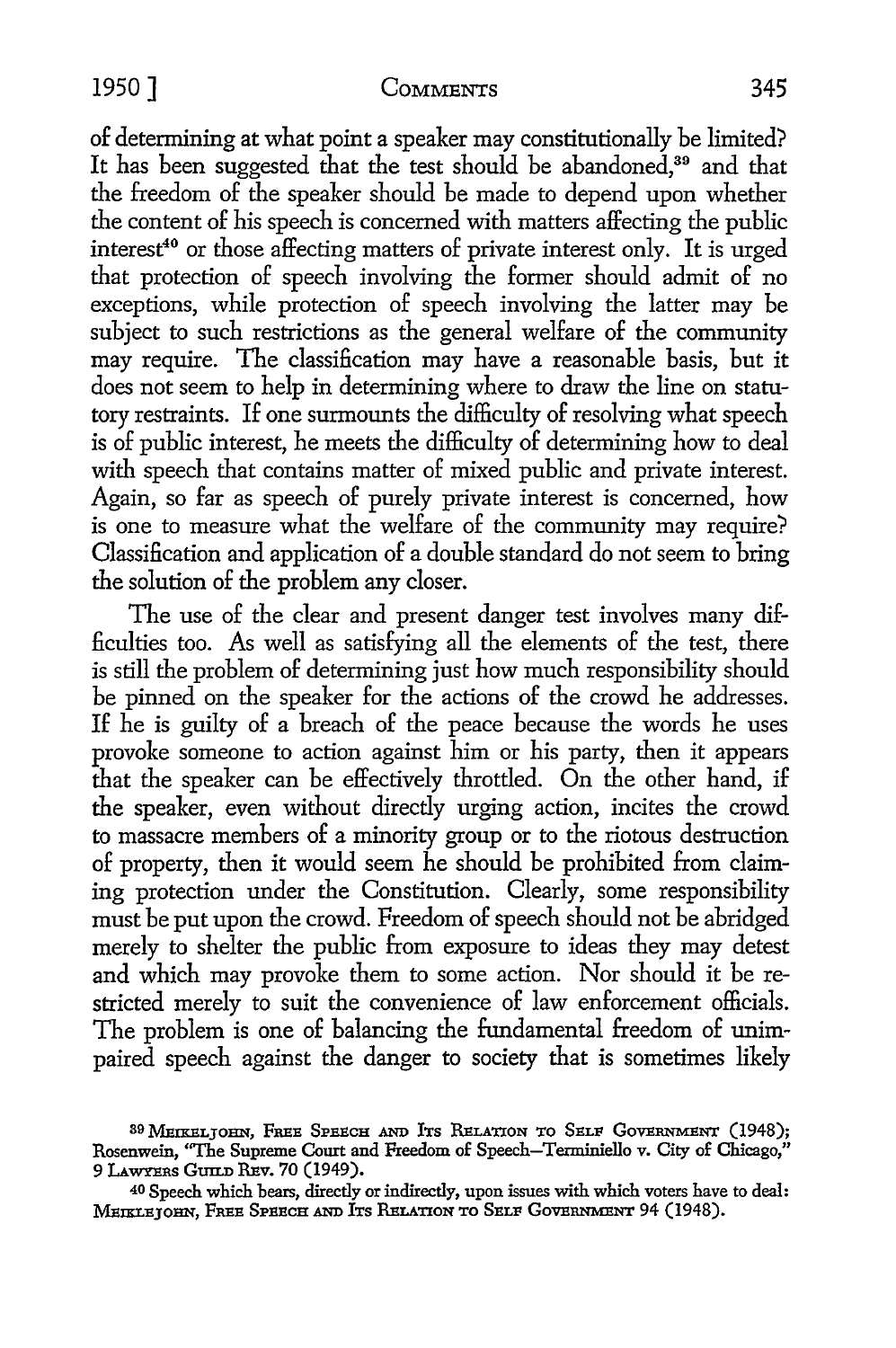of determining at what point a speaker may constitutionally be limited? It has been suggested that the test should be abandoned.<sup>39</sup> and that the freedom of the speaker should be made to depend upon whether the content of his speech is concerned with matters affecting the public interest<sup>40</sup> or those affecting matters of private interest only. It is urged that protection of speech involving the former should admit of no exceptions, while protection of speech involving the latter may be subject to such restrictions as the general welfare of the community may require. The classification may have a reasonable basis, but it does not seem to help in determining where to draw the line on statutory restraints. If one surmounts the difficulty of resolving what speech is of public interest, he meets the difficulty of determining how to deal with speech that contains matter of mixed public and private interest. Again, so far as speech of purely private interest is concerned, how is one to measure what the welfare of the community may require? Classification and application of a double standard do not seem to bring the solution of the problem any closer.

The use of the clear and present danger test involves many difficulties too. As well as satisfying all the elements of the test, there is still the problem of determining just how much responsibility should be pinned on the speaker for the actions of the crowd he addresses. If he is guilty of a breach of the peace because the words he uses provoke someone to action against him or his party, then it appears that the speaker can be effectively throttled. On the other hand, if the speaker, even without directly urging action, incites the crowd to massacre members of a minority group or to the riotous destruction of property, then it would seem he should be prohibited from claiming protection under the Constitution. Clearly, some responsibility must be put upon the crowd. Freedom of speech should not be abridged merely to shelter the public from exposure to ideas they may detest and which may provoke them to some action. Nor should it be restricted merely to suit the convenience of law enforcement officials. The problem is one of balancing the fundamental freedom of unimpaired speech against the danger to society that is sometimes likely

<sup>39</sup> MEIRELJOHN, FREE SPEECH AND ITS RELATION TO SELF GOVERNMENT (1948); Rosenwein, ''The Supreme Court and Freedom of Speech-Terminiello v. City of Chicago," 9 LAWYERS GUILD REv. 70 (1949).

<sup>40</sup>Speech which bears, directly or indirectly, upon issues with which voters have to deal: MEIKLEJOHN, FREE SPEECH AND ITS RELATION TO SELF GOVERNMENT 94 (1948).